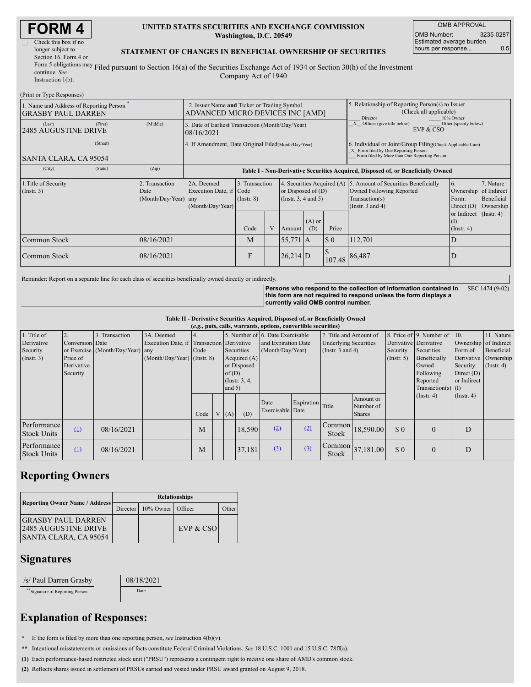| Check this box if no   |
|------------------------|
| longer subject to      |
| Section 16. Form 4 or  |
| Form 5 obligations may |
| continuo Coo           |

#### **UNITED STATES SECURITIES AND EXCHANGE COMMISSION Washington, D.C. 20549**

OMB APPROVAL OMB Number: 3235-0287 Estimated average burden hours per response... 0.5

#### **STATEMENT OF CHANGES IN BENEFICIAL OWNERSHIP OF SECURITIES**

continue. *See* Instruction 1(b). Filed pursuant to Section 16(a) of the Securities Exchange Act of 1934 or Section 30(h) of the Investment Company Act of 1940

| (Print or Type Responses)                                                              |                                                                                 |                                                      |                                                                                  |                                   |   |                                                  |                                                                                                                                                    |                                                                                 |                                                                                                                                        |                                                   |                                                     |
|----------------------------------------------------------------------------------------|---------------------------------------------------------------------------------|------------------------------------------------------|----------------------------------------------------------------------------------|-----------------------------------|---|--------------------------------------------------|----------------------------------------------------------------------------------------------------------------------------------------------------|---------------------------------------------------------------------------------|----------------------------------------------------------------------------------------------------------------------------------------|---------------------------------------------------|-----------------------------------------------------|
| 1. Name and Address of Reporting Person $\ddot{\text{-}}$<br><b>GRASBY PAUL DARREN</b> | 2. Issuer Name and Ticker or Trading Symbol<br>ADVANCED MICRO DEVICES INC [AMD] |                                                      |                                                                                  |                                   |   |                                                  | 5. Relationship of Reporting Person(s) to Issuer<br>(Check all applicable)<br>Director<br>10% Owner                                                |                                                                                 |                                                                                                                                        |                                                   |                                                     |
| (Last)<br><b>2485 AUGUSTINE DRIVE</b>                                                  | (First)                                                                         | (Middle)                                             | 3. Date of Earliest Transaction (Month/Day/Year)<br>08/16/2021                   |                                   |   |                                                  |                                                                                                                                                    | $\overline{X}$ Officer (give title below)<br>Other (specify below)<br>EVP & CSO |                                                                                                                                        |                                                   |                                                     |
| <b>SANTA CLARA, CA 95054</b>                                                           |                                                                                 | 4. If Amendment, Date Original Filed(Month/Day/Year) |                                                                                  |                                   |   |                                                  | 6. Individual or Joint/Group Filing(Check Applicable Line)<br>X Form filed by One Reporting Person<br>Form filed by More than One Reporting Person |                                                                                 |                                                                                                                                        |                                                   |                                                     |
| (City)                                                                                 | (State)                                                                         | (Zip)                                                | Table I - Non-Derivative Securities Acquired, Disposed of, or Beneficially Owned |                                   |   |                                                  |                                                                                                                                                    |                                                                                 |                                                                                                                                        |                                                   |                                                     |
| 1. Title of Security<br>(Insert. 3)                                                    |                                                                                 | 2. Transaction<br>Date<br>(Month/Day/Year)           | 2A. Deemed<br>Execution Date, if Code<br>any<br>(Month/Day/Year)                 | 3. Transaction<br>$($ Instr. $8)$ |   | or Disposed of $(D)$<br>(Instr. $3, 4$ and $5$ ) |                                                                                                                                                    |                                                                                 | 4. Securities Acquired (A) 5. Amount of Securities Beneficially<br>Owned Following Reported<br>Transaction(s)<br>(Instr. $3$ and $4$ ) | 6.<br>Ownership<br>Form:<br>Direct $(D)$          | 7. Nature<br>of Indirect<br>Beneficial<br>Ownership |
|                                                                                        |                                                                                 |                                                      |                                                                                  | Code                              | V | Amount                                           | $(A)$ or<br>(D)                                                                                                                                    | Price                                                                           |                                                                                                                                        | or Indirect (Instr. 4)<br>(1)<br>$($ Instr. 4 $)$ |                                                     |
| Common Stock                                                                           |                                                                                 | 08/16/2021                                           |                                                                                  | M                                 |   | $55,771$ A                                       |                                                                                                                                                    | $\boldsymbol{\mathsf{S}}\boldsymbol{\mathsf{0}}$                                | 112,701                                                                                                                                | D                                                 |                                                     |
| Common Stock                                                                           |                                                                                 | 08/16/2021                                           |                                                                                  | F                                 |   | 26,214 D                                         |                                                                                                                                                    |                                                                                 | 107.48 86,487                                                                                                                          | IJ                                                |                                                     |

Reminder: Report on a separate line for each class of securities beneficially owned directly or indirectly.

**Persons who respond to the collection of information contained in this form are not required to respond unless the form displays a currently valid OMB control number.** SEC 1474 (9-02)

**Table II - Derivative Securities Acquired, Disposed of, or Beneficially Owned**

| (e.g., puts, calls, warrants, options, convertible securities) |                 |                                  |                             |      |                                           |                 |                     |                                  |                              |                        |               |                       |                              |               |                  |
|----------------------------------------------------------------|-----------------|----------------------------------|-----------------------------|------|-------------------------------------------|-----------------|---------------------|----------------------------------|------------------------------|------------------------|---------------|-----------------------|------------------------------|---------------|------------------|
| $\vert$ 1. Title of                                            |                 | . Transaction                    | 3A. Deemed                  |      |                                           |                 |                     | 5. Number of 6. Date Exercisable |                              | 7. Title and Amount of |               |                       | 8. Price of 9. Number of 10. |               | 11. Nature       |
| Derivative                                                     | Conversion Date |                                  |                             |      | Execution Date, if Transaction Derivative |                 | and Expiration Date |                                  | <b>Underlying Securities</b> |                        |               | Derivative Derivative | Ownership of Indirect        |               |                  |
| Security                                                       |                 | or Exercise (Month/Day/Year) any |                             | Code | Securities                                |                 | (Month/Day/Year)    |                                  | (Instr. $3$ and $4$ )        |                        | Security      | Securities            | Form of                      | Beneficial    |                  |
| $($ Instr. 3)                                                  | Price of        |                                  | (Month/Day/Year) (Instr. 8) |      |                                           | Acquired $(A)$  |                     |                                  |                              | (Insert. 5)            | Beneficially  |                       | Derivative Ownership         |               |                  |
|                                                                | Derivative      |                                  |                             |      |                                           |                 | or Disposed         |                                  |                              |                        |               |                       | Owned                        | Security:     | $($ Instr. 4 $)$ |
|                                                                | Security        |                                  |                             |      |                                           | of $(D)$        |                     |                                  |                              |                        |               |                       | Following                    | Direct $(D)$  |                  |
|                                                                |                 |                                  |                             |      |                                           | (Instr. $3, 4,$ |                     |                                  |                              |                        |               |                       | Reported                     | or Indirect   |                  |
|                                                                |                 |                                  |                             |      |                                           | and $5)$        |                     |                                  |                              |                        |               |                       | Transaction(s) $(I)$         |               |                  |
|                                                                |                 |                                  |                             |      |                                           |                 |                     |                                  |                              |                        | Amount or     |                       | $($ Instr. 4 $)$             | $($ Instr. 4) |                  |
|                                                                |                 |                                  |                             |      |                                           |                 |                     | Date                             | Expiration Title             |                        | Number of     |                       |                              |               |                  |
|                                                                |                 |                                  |                             | Code |                                           | (A)             | (D)                 | Exercisable Date                 |                              |                        | <b>Shares</b> |                       |                              |               |                  |
| Performance<br><b>Stock Units</b>                              | (1)             | 08/16/2021                       |                             | M    |                                           |                 | 18.590              | (2)                              | (2)                          | Common<br><b>Stock</b> | 18,590.00     | \$0                   | $\theta$                     | D             |                  |
| Performance<br><b>Stock Units</b>                              | (1)             | 08/16/2021                       |                             | M    |                                           |                 | 37,181              | (3)                              | (3)                          | Common<br>Stock        | 37,181.00     | \$0                   | $\Omega$                     | D             |                  |

# **Reporting Owners**

| Reporting Owner Name / Address                                                           | <b>Relationships</b> |                                |           |       |  |  |  |  |  |
|------------------------------------------------------------------------------------------|----------------------|--------------------------------|-----------|-------|--|--|--|--|--|
|                                                                                          |                      | Director   10% Owner   Officer |           | Other |  |  |  |  |  |
| <b>GRASBY PAUL DARREN</b><br><b>2485 AUGUSTINE DRIVE</b><br><b>SANTA CLARA, CA 95054</b> |                      |                                | EVP & CSO |       |  |  |  |  |  |

### **Signatures**

| /s/ Paul Darren Grasby           | 08/18/2 |
|----------------------------------|---------|
| ** Signature of Reporting Person | Date    |

 $/18/2021$ 

# **Explanation of Responses:**

**\*** If the form is filed by more than one reporting person, *see* Instruction 4(b)(v).

**\*\*** Intentional misstatements or omissions of facts constitute Federal Criminal Violations. *See* 18 U.S.C. 1001 and 15 U.S.C. 78ff(a).

**(1)** Each performance-based restricted stock unit ("PRSU") represents a contingent right to receive one share of AMD's common stock.

**(2)** Reflects shares issued in settlement of PRSUs earned and vested under PRSU award granted on August 9, 2018.